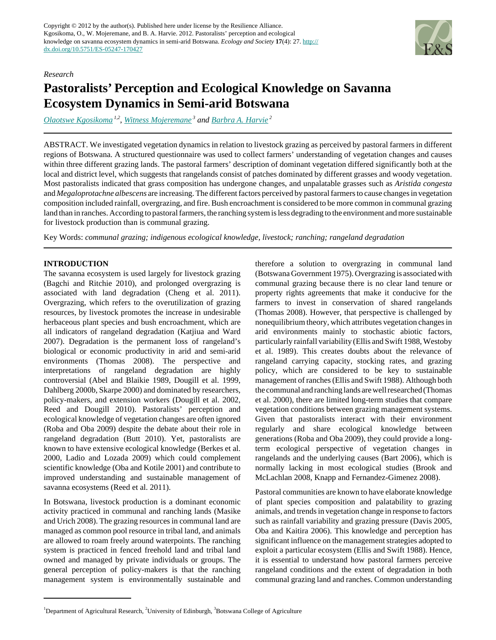

#### *Research*

# **Pastoralists' Perception and Ecological Knowledge on Savanna Ecosystem Dynamics in Semi-arid Botswana**

*[Olaotswe Kgosikoma](mailto:mfana450@yahoo.com) 1,2* , *[Witness Mojeremane](mailto:wmojeremane@yahoo.com)<sup>3</sup> and [Barbra A. Harvie](mailto:barbra.harvie@ed.ac.uk)<sup>2</sup>*

ABSTRACT. We investigated vegetation dynamics in relation to livestock grazing as perceived by pastoral farmers in different regions of Botswana. A structured questionnaire was used to collect farmers' understanding of vegetation changes and causes within three different grazing lands. The pastoral farmers' description of dominant vegetation differed significantly both at the local and district level, which suggests that rangelands consist of patches dominated by different grasses and woody vegetation. Most pastoralists indicated that grass composition has undergone changes, and unpalatable grasses such as *Aristida congesta* and *Megaloprotachne albescens* are increasing. The different factors perceived by pastoral farmers to cause changes in vegetation composition included rainfall, overgrazing, and fire. Bush encroachment is considered to be more common in communal grazing land than in ranches. According to pastoral farmers, the ranching system is less degrading to the environment and more sustainable for livestock production than is communal grazing.

Key Words: *communal grazing; indigenous ecological knowledge, livestock; ranching; rangeland degradation*

## **INTRODUCTION**

The savanna ecosystem is used largely for livestock grazing (Bagchi and Ritchie 2010), and prolonged overgrazing is associated with land degradation (Cheng et al. 2011). Overgrazing, which refers to the overutilization of grazing resources, by livestock promotes the increase in undesirable herbaceous plant species and bush encroachment, which are all indicators of rangeland degradation (Katjiua and Ward 2007). Degradation is the permanent loss of rangeland's biological or economic productivity in arid and semi-arid environments (Thomas 2008). The perspective and interpretations of rangeland degradation are highly controversial (Abel and Blaikie 1989, Dougill et al. 1999, Dahlberg 2000b, Skarpe 2000) and dominated by researchers, policy-makers, and extension workers (Dougill et al. 2002, Reed and Dougill 2010). Pastoralists' perception and ecological knowledge of vegetation changes are often ignored (Roba and Oba 2009) despite the debate about their role in rangeland degradation (Butt 2010). Yet, pastoralists are known to have extensive ecological knowledge (Berkes et al. 2000, Ladio and Lozada 2009) which could complement scientific knowledge (Oba and Kotile 2001) and contribute to improved understanding and sustainable management of savanna ecosystems (Reed et al. 2011).

In Botswana, livestock production is a dominant economic activity practiced in communal and ranching lands (Masike and Urich 2008). The grazing resources in communal land are managed as common pool resource in tribal land, and animals are allowed to roam freely around waterpoints. The ranching system is practiced in fenced freehold land and tribal land owned and managed by private individuals or groups. The general perception of policy-makers is that the ranching management system is environmentally sustainable and therefore a solution to overgrazing in communal land (Botswana Government 1975). Overgrazing is associated with communal grazing because there is no clear land tenure or property rights agreements that make it conducive for the farmers to invest in conservation of shared rangelands (Thomas 2008). However, that perspective is challenged by nonequilibrium theory, which attributes vegetation changes in arid environments mainly to stochastic abiotic factors, particularly rainfall variability (Ellis and Swift 1988, Westoby et al. 1989). This creates doubts about the relevance of rangeland carrying capacity, stocking rates, and grazing policy, which are considered to be key to sustainable management of ranches (Ellis and Swift 1988). Although both the communal and ranching lands are well researched (Thomas et al. 2000), there are limited long-term studies that compare vegetation conditions between grazing management systems. Given that pastoralists interact with their environment regularly and share ecological knowledge between generations (Roba and Oba 2009), they could provide a longterm ecological perspective of vegetation changes in rangelands and the underlying causes (Bart 2006), which is normally lacking in most ecological studies (Brook and McLachlan 2008, Knapp and Fernandez-Gimenez 2008).

Pastoral communities are known to have elaborate knowledge of plant species composition and palatability to grazing animals, and trends in vegetation change in response to factors such as rainfall variability and grazing pressure (Davis 2005, Oba and Kaitira 2006). This knowledge and perception has significant influence on the management strategies adopted to exploit a particular ecosystem (Ellis and Swift 1988). Hence, it is essential to understand how pastoral farmers perceive rangeland conditions and the extent of degradation in both communal grazing land and ranches. Common understanding

<sup>&</sup>lt;sup>1</sup>Department of Agricultural Research, <sup>2</sup>University of Edinburgh,  $3$ Botswana College of Agriculture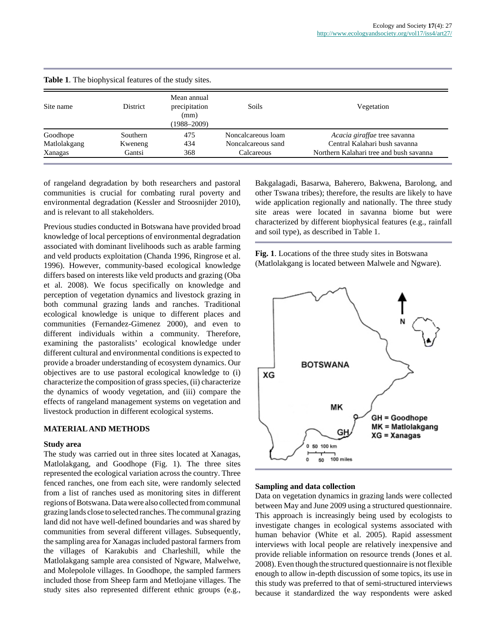| <b>Table 1.</b> The biophysical features of the study sites. |                                                         |                    |                                         |  |  |  |
|--------------------------------------------------------------|---------------------------------------------------------|--------------------|-----------------------------------------|--|--|--|
| District                                                     | Mean annual<br>precipitation<br>(mm)<br>$(1988 - 2009)$ | Soils              | Vegetation                              |  |  |  |
| <b>Southern</b>                                              | 475                                                     | Noncalcareous loam | Acacia giraffae tree savanna            |  |  |  |
| Kweneng                                                      | 434                                                     | Noncalcareous sand | Central Kalahari bush sayanna           |  |  |  |
| Gantsi                                                       | 368                                                     | Calcareous         | Northern Kalahari tree and bush savanna |  |  |  |
|                                                              |                                                         |                    |                                         |  |  |  |

of rangeland degradation by both researchers and pastoral communities is crucial for combating rural poverty and environmental degradation (Kessler and Stroosnijder 2010), and is relevant to all stakeholders.

Previous studies conducted in Botswana have provided broad knowledge of local perceptions of environmental degradation associated with dominant livelihoods such as arable farming and veld products exploitation (Chanda 1996, Ringrose et al. 1996). However, community-based ecological knowledge differs based on interests like veld products and grazing (Oba et al. 2008). We focus specifically on knowledge and perception of vegetation dynamics and livestock grazing in both communal grazing lands and ranches. Traditional ecological knowledge is unique to different places and communities (Fernandez-Gimenez 2000), and even to different individuals within a community. Therefore, examining the pastoralists' ecological knowledge under different cultural and environmental conditions is expected to provide a broader understanding of ecosystem dynamics. Our objectives are to use pastoral ecological knowledge to (i) characterize the composition of grass species, (ii) characterize the dynamics of woody vegetation, and (iii) compare the effects of rangeland management systems on vegetation and livestock production in different ecological systems.

#### **MATERIAL AND METHODS**

#### **Study area**

The study was carried out in three sites located at Xanagas, Matlolakgang, and Goodhope (Fig. 1). The three sites represented the ecological variation across the country. Three fenced ranches, one from each site, were randomly selected from a list of ranches used as monitoring sites in different regions of Botswana. Data were also collected from communal grazing lands close to selected ranches. The communal grazing land did not have well-defined boundaries and was shared by communities from several different villages. Subsequently, the sampling area for Xanagas included pastoral farmers from the villages of Karakubis and Charleshill, while the Matlolakgang sample area consisted of Ngware, Malwelwe, and Molepolole villages. In Goodhope, the sampled farmers included those from Sheep farm and Metlojane villages. The study sites also represented different ethnic groups (e.g., Bakgalagadi, Basarwa, Baherero, Bakwena, Barolong, and other Tswana tribes); therefore, the results are likely to have wide application regionally and nationally. The three study site areas were located in savanna biome but were characterized by different biophysical features (e.g., rainfall and soil type), as described in Table 1.

**Fig. 1**. Locations of the three study sites in Botswana (Matlolakgang is located between Malwele and Ngware).



#### **Sampling and data collection**

Data on vegetation dynamics in grazing lands were collected between May and June 2009 using a structured questionnaire. This approach is increasingly being used by ecologists to investigate changes in ecological systems associated with human behavior (White et al. 2005). Rapid assessment interviews with local people are relatively inexpensive and provide reliable information on resource trends (Jones et al. 2008). Even though the structured questionnaire is not flexible enough to allow in-depth discussion of some topics, its use in this study was preferred to that of semi-structured interviews because it standardized the way respondents were asked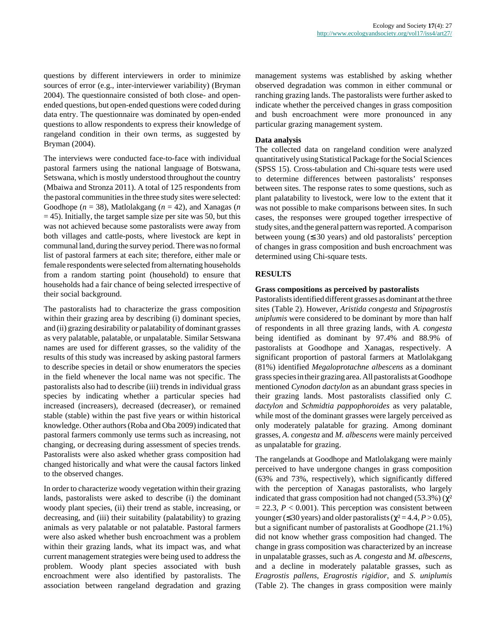questions by different interviewers in order to minimize sources of error (e.g., inter-interviewer variability) (Bryman 2004). The questionnaire consisted of both close- and openended questions, but open-ended questions were coded during data entry. The questionnaire was dominated by open-ended questions to allow respondents to express their knowledge of rangeland condition in their own terms, as suggested by Bryman (2004).

The interviews were conducted face-to-face with individual pastoral farmers using the national language of Botswana, Setswana, which is mostly understood throughout the country (Mbaiwa and Stronza 2011). A total of 125 respondents from the pastoral communities in the three study sites were selected: Goodhope (*n* = 38), Matlolakgang (*n* = 42), and Xanagas (*n*  $=$  45). Initially, the target sample size per site was 50, but this was not achieved because some pastoralists were away from both villages and cattle-posts, where livestock are kept in communal land, during the survey period. There was no formal list of pastoral farmers at each site; therefore, either male or female respondents were selected from alternating households from a random starting point (household) to ensure that households had a fair chance of being selected irrespective of their social background.

The pastoralists had to characterize the grass composition within their grazing area by describing (i) dominant species, and (ii) grazing desirability or palatability of dominant grasses as very palatable, palatable, or unpalatable. Similar Setswana names are used for different grasses, so the validity of the results of this study was increased by asking pastoral farmers to describe species in detail or show enumerators the species in the field whenever the local name was not specific. The pastoralists also had to describe (iii) trends in individual grass species by indicating whether a particular species had increased (increasers), decreased (decreaser), or remained stable (stable) within the past five years or within historical knowledge. Other authors (Roba and Oba 2009) indicated that pastoral farmers commonly use terms such as increasing, not changing, or decreasing during assessment of species trends. Pastoralists were also asked whether grass composition had changed historically and what were the causal factors linked to the observed changes.

In order to characterize woody vegetation within their grazing lands, pastoralists were asked to describe (i) the dominant woody plant species, (ii) their trend as stable, increasing, or decreasing, and (iii) their suitability (palatability) to grazing animals as very palatable or not palatable. Pastoral farmers were also asked whether bush encroachment was a problem within their grazing lands, what its impact was, and what current management strategies were being used to address the problem. Woody plant species associated with bush encroachment were also identified by pastoralists. The association between rangeland degradation and grazing management systems was established by asking whether observed degradation was common in either communal or ranching grazing lands. The pastoralists were further asked to indicate whether the perceived changes in grass composition and bush encroachment were more pronounced in any particular grazing management system.

## **Data analysis**

The collected data on rangeland condition were analyzed quantitatively using Statistical Package for the Social Sciences (SPSS 15). Cross-tabulation and Chi-square tests were used to determine differences between pastoralists' responses between sites. The response rates to some questions, such as plant palatability to livestock, were low to the extent that it was not possible to make comparisons between sites. In such cases, the responses were grouped together irrespective of study sites, and the general pattern was reported. A comparison between young  $( \leq 30 \text{ years})$  and old pastoralists' perception of changes in grass composition and bush encroachment was determined using Chi-square tests.

## **RESULTS**

#### **Grass compositions as perceived by pastoralists**

Pastoralists identified different grasses as dominant at the three sites (Table 2). However, *Aristida congesta* and *Stipagrostis uniplumis* were considered to be dominant by more than half of respondents in all three grazing lands, with *A. congesta* being identified as dominant by 97.4% and 88.9% of pastoralists at Goodhope and Xanagas, respectively. A significant proportion of pastoral farmers at Matlolakgang (81%) identified *Megaloprotachne albescens* as a dominant grass species in their grazing area. All pastoralists at Goodhope mentioned *Cynodon dactylon* as an abundant grass species in their grazing lands. Most pastoralists classified only *C. dactylon* and *Schmidtia pappophoroides* as very palatable, while most of the dominant grasses were largely perceived as only moderately palatable for grazing. Among dominant grasses, *A. congesta* and *M. albescens* were mainly perceived as unpalatable for grazing.

The rangelands at Goodhope and Matlolakgang were mainly perceived to have undergone changes in grass composition (63% and 73%, respectively), which significantly differed with the perception of Xanagas pastoralists, who largely indicated that grass composition had not changed  $(53.3\%) (\chi^2)$  $= 22.3, P < 0.001$ ). This perception was consistent between younger ( $\leq$  30 years) and older pastoralists ( $\chi^2$  = 4.4, *P* > 0.05), but a significant number of pastoralists at Goodhope (21.1%) did not know whether grass composition had changed. The change in grass composition was characterized by an increase in unpalatable grasses, such as *A. congesta* and *M. albescens*, and a decline in moderately palatable grasses, such as *Eragrostis pallens*, *Eragrostis rigidior*, and *S. uniplumis* (Table 2). The changes in grass composition were mainly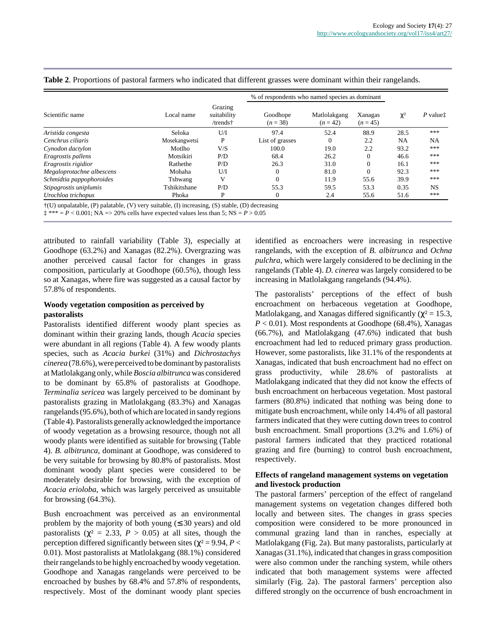|                           |               |                                    | % of respondents who named species as dominant |                            |                       |           |                      |
|---------------------------|---------------|------------------------------------|------------------------------------------------|----------------------------|-----------------------|-----------|----------------------|
| Scientific name           | Local name    | Grazing<br>suitability<br>/trends† | Goodhope<br>$(n=38)$                           | Matlolakgang<br>$(n = 42)$ | Xanagas<br>$(n = 45)$ | $\chi^2$  | $P$ value $\ddagger$ |
| Aristida congesta         | Seloka        | U/I                                | 97.4                                           | 52.4                       | 88.9                  | 28.5      | ***                  |
| Cenchrus ciliaris         | Mosekangwetsi | P                                  | List of grasses                                | $\Omega$                   | 2.2                   | <b>NA</b> | <b>NA</b>            |
| Cynodon dactylon          | Motlho        | V/S                                | 100.0                                          | 19.0                       | 2.2                   | 93.2      | ***                  |
| Eragrostis pallens        | Motsikiri     | P/D                                | 68.4                                           | 26.2                       | $\Omega$              | 46.6      | ***                  |
| Eragrostis rigidior       | Rathethe      | P/D                                | 26.3                                           | 31.0                       | $\boldsymbol{0}$      | 16.1      | ***                  |
| Megaloprotachne albescens | Mohaha        | U/I                                | 0                                              | 81.0                       | $\Omega$              | 92.3      | ***                  |
| Schmidtia pappophoroides  | Tshwang       | V                                  | 0                                              | 11.9                       | 55.6                  | 39.9      | ***                  |
| Stipagrostis uniplumis    | Tshikitshane  | P/D                                | 55.3                                           | 59.5                       | 53.3                  | 0.35      | <b>NS</b>            |
| Urochloa trichopus        | Phoka         | P                                  | 0                                              | 2.4                        | 55.6                  | 51.6      | ***                  |

#### **Table 2**. Proportions of pastoral farmers who indicated that different grasses were dominant within their rangelands.

†(U) unpalatable, (P) palatable, (V) very suitable, (I) increasing, (S) stable, (D) decreasing

 $\pm$  \*\*\* =  $P < 0.001$ ; NA = > 20% cells have expected values less than 5; NS =  $P > 0.05$ 

attributed to rainfall variability (Table 3), especially at Goodhope (63.2%) and Xanagas (82.2%). Overgrazing was another perceived causal factor for changes in grass composition, particularly at Goodhope (60.5%), though less so at Xanagas, where fire was suggested as a causal factor by 57.8% of respondents.

## **Woody vegetation composition as perceived by pastoralists**

Pastoralists identified different woody plant species as dominant within their grazing lands, though *Acacia* species were abundant in all regions (Table 4). A few woody plants species, such as *Acacia burkei* (31%) and *Dichrostachys cinerea* (78.6%), were perceived to be dominant by pastoralists at Matlolakgang only, while *Boscia albitrunca* was considered to be dominant by 65.8% of pastoralists at Goodhope. *Terminalia sericea* was largely perceived to be dominant by pastoralists grazing in Matlolakgang (83.3%) and Xanagas rangelands (95.6%), both of which are located in sandy regions (Table 4). Pastoralists generally acknowledged the importance of woody vegetation as a browsing resource, though not all woody plants were identified as suitable for browsing (Table 4). *B. albitrunca*, dominant at Goodhope, was considered to be very suitable for browsing by 80.8% of pastoralists. Most dominant woody plant species were considered to be moderately desirable for browsing, with the exception of *Acacia erioloba*, which was largely perceived as unsuitable for browsing (64.3%).

Bush encroachment was perceived as an environmental problem by the majority of both young  $( \leq 30 \text{ years})$  and old pastoralists ( $\chi^2$  = 2.33, *P* > 0.05) at all sites, though the perception differed significantly between sites ( $\chi^2$  = 9.94, *P* < 0.01). Most pastoralists at Matlolakgang (88.1%) considered their rangelands to be highly encroached by woody vegetation. Goodhope and Xanagas rangelands were perceived to be encroached by bushes by 68.4% and 57.8% of respondents, respectively. Most of the dominant woody plant species

identified as encroachers were increasing in respective rangelands, with the exception of *B. albitrunca* and *Ochna pulchra*, which were largely considered to be declining in the rangelands (Table 4). *D. cinerea* was largely considered to be increasing in Matlolakgang rangelands (94.4%).

The pastoralists' perceptions of the effect of bush encroachment on herbaceous vegetation at Goodhope, Matlolakgang, and Xanagas differed significantly ( $\chi^2 = 15.3$ ,  $P < 0.01$ ). Most respondents at Goodhope (68.4%), Xanagas (66.7%), and Matlolakgang (47.6%) indicated that bush encroachment had led to reduced primary grass production. However, some pastoralists, like 31.1% of the respondents at Xanagas, indicated that bush encroachment had no effect on grass productivity, while 28.6% of pastoralists at Matlolakgang indicated that they did not know the effects of bush encroachment on herbaceous vegetation. Most pastoral farmers (80.8%) indicated that nothing was being done to mitigate bush encroachment, while only 14.4% of all pastoral farmers indicated that they were cutting down trees to control bush encroachment. Small proportions (3.2% and 1.6%) of pastoral farmers indicated that they practiced rotational grazing and fire (burning) to control bush encroachment, respectively.

#### **Effects of rangeland management systems on vegetation and livestock production**

The pastoral farmers' perception of the effect of rangeland management systems on vegetation changes differed both locally and between sites. The changes in grass species composition were considered to be more pronounced in communal grazing land than in ranches, especially at Matlolakgang (Fig. 2a). But many pastoralists, particularly at Xanagas (31.1%), indicated that changes in grass composition were also common under the ranching system, while others indicated that both management systems were affected similarly (Fig. 2a). The pastoral farmers' perception also differed strongly on the occurrence of bush encroachment in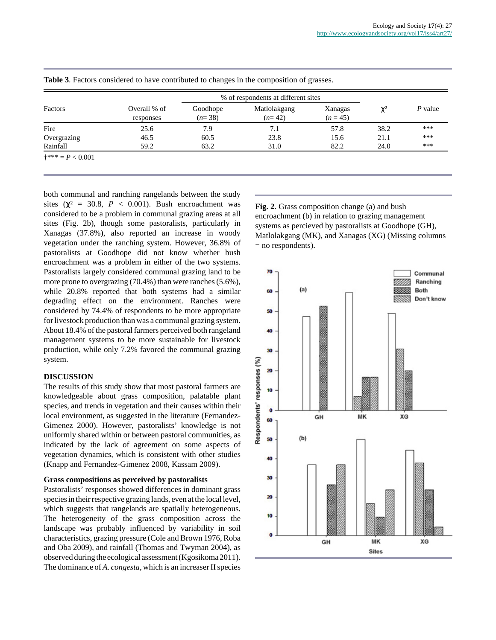|             |                           |                      | % of respondents at different sites |                       |          |           |
|-------------|---------------------------|----------------------|-------------------------------------|-----------------------|----------|-----------|
| Factors     | Overall % of<br>responses | Goodhope<br>$(n=38)$ | Matlolakgang<br>$(n=42)$            | Xanagas<br>$(n = 45)$ | $\chi^2$ | $P$ value |
| Fire        | 25.6                      | 7.9                  | 7.1                                 | 57.8                  | 38.2     | ***       |
| Overgrazing | 46.5                      | 60.5                 | 23.8                                | 15.6                  | 21.1     | ***       |
| Rainfall    | 59.2                      | 63.2                 | 31.0                                | 82.2                  | 24.0     | ***       |

**Table 3**. Factors considered to have contributed to changes in the composition of grasses.

both communal and ranching rangelands between the study sites ( $\chi^2$  = 30.8, *P* < 0.001). Bush encroachment was considered to be a problem in communal grazing areas at all sites (Fig. 2b), though some pastoralists, particularly in Xanagas (37.8%), also reported an increase in woody vegetation under the ranching system. However, 36.8% of pastoralists at Goodhope did not know whether bush encroachment was a problem in either of the two systems. Pastoralists largely considered communal grazing land to be more prone to overgrazing (70.4%) than were ranches (5.6%), while 20.8% reported that both systems had a similar degrading effect on the environment. Ranches were considered by 74.4% of respondents to be more appropriate for livestock production than was a communal grazing system. About 18.4% of the pastoral farmers perceived both rangeland management systems to be more sustainable for livestock production, while only 7.2% favored the communal grazing system.

#### **DISCUSSION**

The results of this study show that most pastoral farmers are knowledgeable about grass composition, palatable plant species, and trends in vegetation and their causes within their local environment, as suggested in the literature (Fernandez-Gimenez 2000). However, pastoralists' knowledge is not uniformly shared within or between pastoral communities, as indicated by the lack of agreement on some aspects of vegetation dynamics, which is consistent with other studies (Knapp and Fernandez-Gimenez 2008, Kassam 2009).

#### **Grass compositions as perceived by pastoralists**

Pastoralists' responses showed differences in dominant grass species in their respective grazing lands, even at the local level, which suggests that rangelands are spatially heterogeneous. The heterogeneity of the grass composition across the landscape was probably influenced by variability in soil characteristics, grazing pressure (Cole and Brown 1976, Roba and Oba 2009), and rainfall (Thomas and Twyman 2004), as observed during the ecological assessment (Kgosikoma 2011). The dominance of *A. congesta*, which is an increaser II species **Fig. 2**. Grass composition change (a) and bush encroachment (b) in relation to grazing management systems as percieved by pastoralists at Goodhope (GH), Matlolakgang (MK), and Xanagas (XG) (Missing columns  $=$  no respondents).

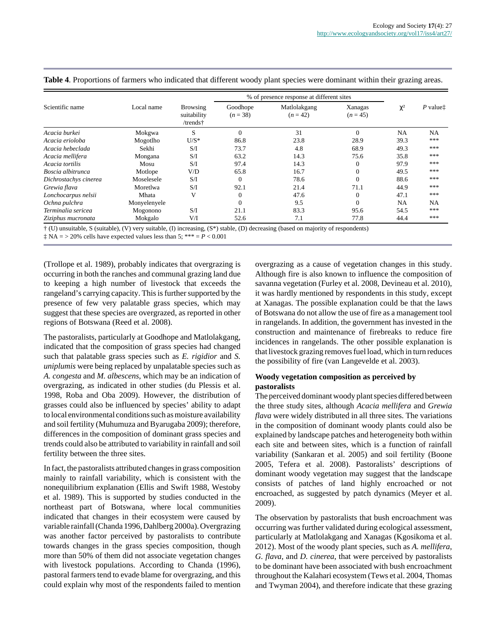| Scientific name       |              |                                     | % of presence response at different sites |                            |                       |           |                      |
|-----------------------|--------------|-------------------------------------|-------------------------------------------|----------------------------|-----------------------|-----------|----------------------|
|                       | Local name   | Browsing<br>suitability<br>/trends† | Goodhope<br>$(n=38)$                      | Matlolakgang<br>$(n = 42)$ | Xanagas<br>$(n = 45)$ | $\chi^2$  | P value <sup>†</sup> |
| Acacia burkei         | Mokgwa       | S                                   | $\overline{0}$                            | 31                         | $\Omega$              | <b>NA</b> | <b>NA</b>            |
| Acacia erioloba       | Mogotlho     | $U/S^*$                             | 86.8                                      | 23.8                       | 28.9                  | 39.3      | ***                  |
| Acacia hebeclada      | Sekhi        | S/I                                 | 73.7                                      | 4.8                        | 68.9                  | 49.3      | ***                  |
| Acacia mellifera      | Mongana      | S/I                                 | 63.2                                      | 14.3                       | 75.6                  | 35.8      | ***                  |
| Acacia tortilis       | Mosu         | S/I                                 | 97.4                                      | 14.3                       |                       | 97.9      | ***                  |
| Boscia albitrunca     | Motlope      | V/D                                 | 65.8                                      | 16.7                       |                       | 49.5      | ***                  |
| Dichrostachys cinerea | Moselesele   | S/I                                 | $\overline{0}$                            | 78.6                       |                       | 88.6      | ***                  |
| Grewia flava          | Moretlwa     | S/I                                 | 92.1                                      | 21.4                       | 71.1                  | 44.9      | ***                  |
| Lonchocarpus nelsii   | Mhata        | V                                   | $\overline{0}$                            | 47.6                       | $\Omega$              | 47.1      | ***                  |
| Ochna pulchra         | Monyelenyele |                                     | $\Omega$                                  | 9.5                        | $\Omega$              | NA        | <b>NA</b>            |
| Terminalia sericea    | Mogonono     | S/I                                 | 21.1                                      | 83.3                       | 95.6                  | 54.5      | ***                  |
| Ziziphus mucronata    | Mokgalo      | V/I                                 | 52.6                                      | 7.1                        | 77.8                  | 44.4      | ***                  |

|  | Table 4. Proportions of farmers who indicated that different woody plant species were dominant within their grazing areas. |  |
|--|----------------------------------------------------------------------------------------------------------------------------|--|
|--|----------------------------------------------------------------------------------------------------------------------------|--|

† (U) unsuitable, S (suitable), (V) very suitable, (I) increasing, (S\*) stable, (D) decreasing (based on majority of respondents)

 $\ddagger$  NA = > 20% cells have expected values less than 5; \*\*\* = *P* < 0.001

(Trollope et al. 1989), probably indicates that overgrazing is occurring in both the ranches and communal grazing land due to keeping a high number of livestock that exceeds the rangeland's carrying capacity. This is further supported by the presence of few very palatable grass species, which may suggest that these species are overgrazed, as reported in other regions of Botswana (Reed et al. 2008).

The pastoralists, particularly at Goodhope and Matlolakgang, indicated that the composition of grass species had changed such that palatable grass species such as *E. rigidior* and *S. uniplumis* were being replaced by unpalatable species such as *A. congesta* and *M. albescens*, which may be an indication of overgrazing, as indicated in other studies (du Plessis et al. 1998, Roba and Oba 2009). However, the distribution of grasses could also be influenced by species' ability to adapt to local environmental conditions such as moisture availability and soil fertility (Muhumuza and Byarugaba 2009); therefore, differences in the composition of dominant grass species and trends could also be attributed to variability in rainfall and soil fertility between the three sites.

In fact, the pastoralists attributed changes in grass composition mainly to rainfall variability, which is consistent with the nonequilibrium explanation (Ellis and Swift 1988, Westoby et al. 1989). This is supported by studies conducted in the northeast part of Botswana, where local communities indicated that changes in their ecosystem were caused by variable rainfall (Chanda 1996, Dahlberg 2000a). Overgrazing was another factor perceived by pastoralists to contribute towards changes in the grass species composition, though more than 50% of them did not associate vegetation changes with livestock populations. According to Chanda (1996), pastoral farmers tend to evade blame for overgrazing, and this could explain why most of the respondents failed to mention overgrazing as a cause of vegetation changes in this study. Although fire is also known to influence the composition of savanna vegetation (Furley et al. 2008, Devineau et al. 2010), it was hardly mentioned by respondents in this study, except at Xanagas. The possible explanation could be that the laws of Botswana do not allow the use of fire as a management tool in rangelands. In addition, the government has invested in the construction and maintenance of firebreaks to reduce fire incidences in rangelands. The other possible explanation is that livestock grazing removes fuel load, which in turn reduces the possibility of fire (van Langevelde et al. 2003).

# **Woody vegetation composition as perceived by pastoralists**

The perceived dominant woody plant species differed between the three study sites, although *Acacia mellifera* and *Grewia flava* were widely distributed in all three sites. The variations in the composition of dominant woody plants could also be explained by landscape patches and heterogeneity both within each site and between sites, which is a function of rainfall variability (Sankaran et al. 2005) and soil fertility (Boone 2005, Tefera et al. 2008). Pastoralists' descriptions of dominant woody vegetation may suggest that the landscape consists of patches of land highly encroached or not encroached, as suggested by patch dynamics (Meyer et al. 2009).

The observation by pastoralists that bush encroachment was occurring was further validated during ecological assessment, particularly at Matlolakgang and Xanagas (Kgosikoma et al. 2012). Most of the woody plant species, such as *A. mellifera*, *G. flava*, and *D. cinerea*, that were perceived by pastoralists to be dominant have been associated with bush encroachment throughout the Kalahari ecosystem (Tews et al. 2004, Thomas and Twyman 2004), and therefore indicate that these grazing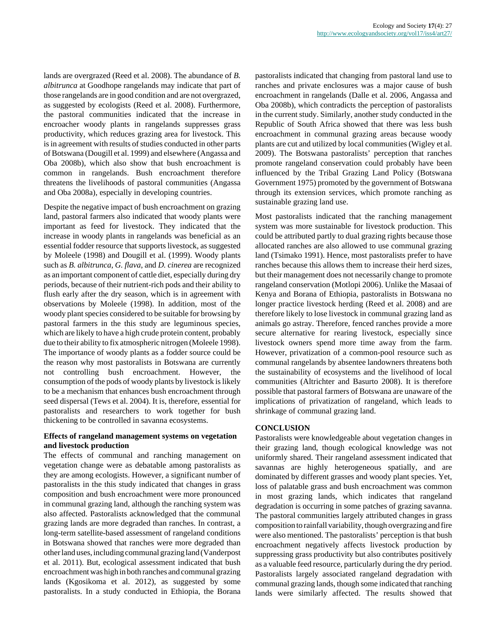lands are overgrazed (Reed et al. 2008). The abundance of *B. albitrunca* at Goodhope rangelands may indicate that part of those rangelands are in good condition and are not overgrazed, as suggested by ecologists (Reed et al. 2008). Furthermore, the pastoral communities indicated that the increase in encroacher woody plants in rangelands suppresses grass productivity, which reduces grazing area for livestock. This is in agreement with results of studies conducted in other parts of Botswana (Dougill et al. 1999) and elsewhere (Angassa and Oba 2008b), which also show that bush encroachment is common in rangelands. Bush encroachment therefore threatens the livelihoods of pastoral communities (Angassa and Oba 2008a), especially in developing countries.

Despite the negative impact of bush encroachment on grazing land, pastoral farmers also indicated that woody plants were important as feed for livestock. They indicated that the increase in woody plants in rangelands was beneficial as an essential fodder resource that supports livestock, as suggested by Moleele (1998) and Dougill et al. (1999). Woody plants such as *B. albitrunca*, *G. flava*, and *D. cinerea* are recognized as an important component of cattle diet, especially during dry periods, because of their nutrient-rich pods and their ability to flush early after the dry season, which is in agreement with observations by Moleele (1998). In addition, most of the woody plant species considered to be suitable for browsing by pastoral farmers in the this study are leguminous species, which are likely to have a high crude protein content, probably due to their ability to fix atmospheric nitrogen (Moleele 1998). The importance of woody plants as a fodder source could be the reason why most pastoralists in Botswana are currently not controlling bush encroachment. However, the consumption of the pods of woody plants by livestock is likely to be a mechanism that enhances bush encroachment through seed dispersal (Tews et al. 2004). It is, therefore, essential for pastoralists and researchers to work together for bush thickening to be controlled in savanna ecosystems.

# **Effects of rangeland management systems on vegetation and livestock production**

The effects of communal and ranching management on vegetation change were as debatable among pastoralists as they are among ecologists. However, a significant number of pastoralists in the this study indicated that changes in grass composition and bush encroachment were more pronounced in communal grazing land, although the ranching system was also affected. Pastoralists acknowledged that the communal grazing lands are more degraded than ranches. In contrast, a long-term satellite-based assessment of rangeland conditions in Botswana showed that ranches were more degraded than other land uses, including communal grazing land (Vanderpost et al. 2011). But, ecological assessment indicated that bush encroachment was high in both ranches and communal grazing lands (Kgosikoma et al. 2012), as suggested by some pastoralists. In a study conducted in Ethiopia, the Borana pastoralists indicated that changing from pastoral land use to ranches and private enclosures was a major cause of bush encroachment in rangelands (Dalle et al. 2006, Angassa and Oba 2008b), which contradicts the perception of pastoralists in the current study. Similarly, another study conducted in the Republic of South Africa showed that there was less bush encroachment in communal grazing areas because woody plants are cut and utilized by local communities (Wigley et al. 2009). The Botswana pastoralists' perception that ranches promote rangeland conservation could probably have been influenced by the Tribal Grazing Land Policy (Botswana Government 1975) promoted by the government of Botswana through its extension services, which promote ranching as sustainable grazing land use.

Most pastoralists indicated that the ranching management system was more sustainable for livestock production. This could be attributed partly to dual grazing rights because those allocated ranches are also allowed to use communal grazing land (Tsimako 1991). Hence, most pastoralists prefer to have ranches because this allows them to increase their herd sizes, but their management does not necessarily change to promote rangeland conservation (Motlopi 2006). Unlike the Masaai of Kenya and Borana of Ethiopia, pastoralists in Botswana no longer practice livestock herding (Reed et al. 2008) and are therefore likely to lose livestock in communal grazing land as animals go astray. Therefore, fenced ranches provide a more secure alternative for rearing livestock, especially since livestock owners spend more time away from the farm. However, privatization of a common-pool resource such as communal rangelands by absentee landowners threatens both the sustainability of ecosystems and the livelihood of local communities (Altrichter and Basurto 2008). It is therefore possible that pastoral farmers of Botswana are unaware of the implications of privatization of rangeland, which leads to shrinkage of communal grazing land.

# **CONCLUSION**

Pastoralists were knowledgeable about vegetation changes in their grazing land, though ecological knowledge was not uniformly shared. Their rangeland assessment indicated that savannas are highly heterogeneous spatially, and are dominated by different grasses and woody plant species. Yet, loss of palatable grass and bush encroachment was common in most grazing lands, which indicates that rangeland degradation is occurring in some patches of grazing savanna. The pastoral communities largely attributed changes in grass composition to rainfall variability, though overgrazing and fire were also mentioned. The pastoralists' perception is that bush encroachment negatively affects livestock production by suppressing grass productivity but also contributes positively as a valuable feed resource, particularly during the dry period. Pastoralists largely associated rangeland degradation with communal grazing lands, though some indicated that ranching lands were similarly affected. The results showed that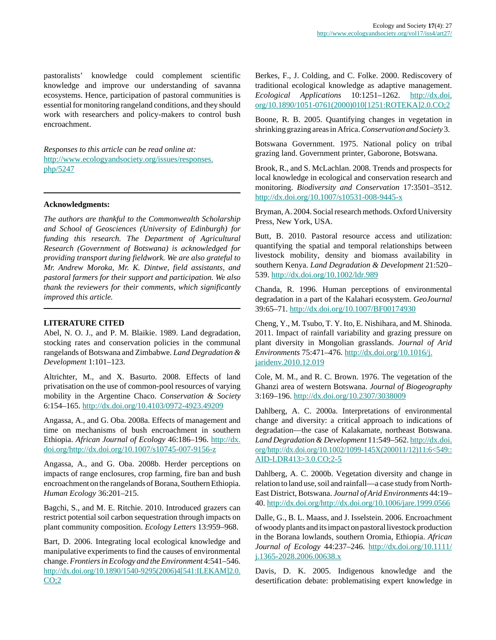pastoralists' knowledge could complement scientific knowledge and improve our understanding of savanna ecosystems. Hence, participation of pastoral communities is essential for monitoring rangeland conditions, and they should work with researchers and policy-makers to control bush encroachment.

*Responses to this article can be read online at:* [http://www.ecologyandsociety.org/issues/responses.](http://www.ecologyandsociety.org/issues/responses.php/5247) [php/5247](http://www.ecologyandsociety.org/issues/responses.php/5247)

#### **Acknowledgments:**

*The authors are thankful to the Commonwealth Scholarship and School of Geosciences (University of Edinburgh) for funding this research. The Department of Agricultural Research (Government of Botswana) is acknowledged for providing transport during fieldwork. We are also grateful to Mr. Andrew Moroka, Mr. K. Dintwe, field assistants, and pastoral farmers for their support and participation. We also thank the reviewers for their comments, which significantly improved this article.*

# **LITERATURE CITED**

Abel, N. O. J., and P. M. Blaikie. 1989. Land degradation, stocking rates and conservation policies in the communal rangelands of Botswana and Zimbabwe. *Land Degradation & Development* 1:101–123.

Altrichter, M., and X. Basurto. 2008. Effects of land privatisation on the use of common-pool resources of varying mobility in the Argentine Chaco. *Conservation & Society* 6:154–165. <http://dx.doi.org/10.4103/0972-4923.49209>

Angassa, A., and G. Oba. 2008a. Effects of management and time on mechanisms of bush encroachment in southern Ethiopia. *African Journal of Ecology* 46:186–196. [http://dx.](http://dx.doi.org/http://dx.doi.org/10.1007/s10745-007-9156-z) [doi.org/http://dx.doi.org/10.1007/s10745-007-9156-z](http://dx.doi.org/http://dx.doi.org/10.1007/s10745-007-9156-z)

Angassa, A., and G. Oba. 2008b. Herder perceptions on impacts of range enclosures, crop farming, fire ban and bush encroachment on the rangelands of Borana, Southern Ethiopia. *Human Ecology* 36:201–215.

Bagchi, S., and M. E. Ritchie. 2010. Introduced grazers can restrict potential soil carbon sequestration through impacts on plant community composition. *Ecology Letters* 13:959–968.

Bart, D. 2006. Integrating local ecological knowledge and manipulative experiments to find the causes of environmental change. *Frontiers in Ecology and the Environment* 4:541–546. [http://dx.doi.org/10.1890/1540-9295\(2006\)4\[541:ILEKAM\]2.0.](http://dx.doi.org/10.1890/1540-9295(2006)4[541:ILEKAM]2.0.CO;2)  $CO:2$ 

Berkes, F., J. Colding, and C. Folke. 2000. Rediscovery of traditional ecological knowledge as adaptive management. *Ecological Applications* 10:1251–1262. [http://dx.doi.](http://dx.doi.org/10.1890/1051-0761(2000)010[1251:ROTEKA]2.0.CO;2) [org/10.1890/1051-0761\(2000\)010\[1251:ROTEKA\]2.0.CO;2](http://dx.doi.org/10.1890/1051-0761(2000)010[1251:ROTEKA]2.0.CO;2)

Boone, R. B. 2005. Quantifying changes in vegetation in shrinking grazing areas in Africa. *Conservation and Society* 3.

Botswana Government. 1975. National policy on tribal grazing land. Government printer, Gaborone, Botswana.

Brook, R., and S. McLachlan. 2008. Trends and prospects for local knowledge in ecological and conservation research and monitoring. *Biodiversity and Conservation* 17:3501–3512. <http://dx.doi.org/10.1007/s10531-008-9445-x>

Bryman, A. 2004. Social research methods. Oxford University Press, New York, USA.

Butt, B. 2010. Pastoral resource access and utilization: quantifying the spatial and temporal relationships between livestock mobility, density and biomass availability in southern Kenya. *Land Degradation & Development* 21:520– 539. <http://dx.doi.org/10.1002/ldr.989>

Chanda, R. 1996. Human perceptions of environmental degradation in a part of the Kalahari ecosystem. *GeoJournal* 39:65–71. <http://dx.doi.org/10.1007/BF00174930>

Cheng, Y., M. Tsubo, T. Y. Ito, E. Nishihara, and M. Shinoda. 2011. Impact of rainfall variability and grazing pressure on plant diversity in Mongolian grasslands. *Journal of Arid Environments* 75:471–476. [http://dx.doi.org/10.1016/j.](http://dx.doi.org/10.1016/j.jaridenv.2010.12.019) [jaridenv.2010.12.019](http://dx.doi.org/10.1016/j.jaridenv.2010.12.019)

Cole, M. M., and R. C. Brown. 1976. The vegetation of the Ghanzi area of western Botswana. *Journal of Biogeography* 3:169–196. <http://dx.doi.org/10.2307/3038009>

Dahlberg, A. C. 2000a. Interpretations of environmental change and diversity: a critical approach to indications of degradation—the case of Kalakamate, northeast Botswana. *Land Degradation & Development* 11:549–562. [http://dx.doi.](http://dx.doi.org/http://dx.doi.org/10.1002/1099-145X(200011/12)11:6<549::AID-LDR413>3.0.CO;2-5) [org/http://dx.doi.org/10.1002/1099-145X\(200011/12\)11:6<549::](http://dx.doi.org/http://dx.doi.org/10.1002/1099-145X(200011/12)11:6<549::AID-LDR413>3.0.CO;2-5) [AID-LDR413>3.0.CO;2-5](http://dx.doi.org/http://dx.doi.org/10.1002/1099-145X(200011/12)11:6<549::AID-LDR413>3.0.CO;2-5)

Dahlberg, A. C. 2000b. Vegetation diversity and change in relation to land use, soil and rainfall—a case study from North-East District, Botswana. *Journal of Arid Environments* 44:19– 40. <http://dx.doi.org/http://dx.doi.org/10.1006/jare.1999.0566>

Dalle, G., B. L. Maass, and J. Isselstein. 2006. Encroachment of woody plants and its impact on pastoral livestock production in the Borana lowlands, southern Oromia, Ethiopia. *African Journal of Ecology* 44:237–246. [http://dx.doi.org/10.1111/](http://dx.doi.org/10.1111/j.1365-2028.2006.00638.x) [j.1365-2028.2006.00638.x](http://dx.doi.org/10.1111/j.1365-2028.2006.00638.x)

Davis, D. K. 2005. Indigenous knowledge and the desertification debate: problematising expert knowledge in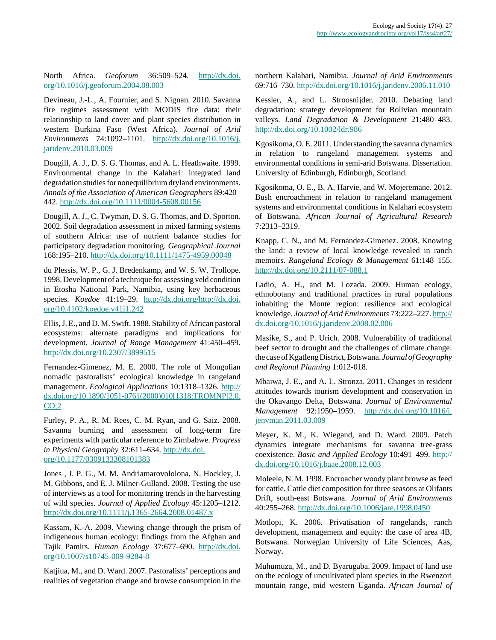North Africa. *Geoforum* 36:509–524. [http://dx.doi.](http://dx.doi.org/10.1016/j.geoforum.2004.08.003) [org/10.1016/j.geoforum.2004.08.003](http://dx.doi.org/10.1016/j.geoforum.2004.08.003)

Devineau, J.-L., A. Fournier, and S. Nignan. 2010. Savanna fire regimes assessment with MODIS fire data: their relationship to land cover and plant species distribution in western Burkina Faso (West Africa). *Journal of Arid Environments* 74:1092–1101. [http://dx.doi.org/10.1016/j.](http://dx.doi.org/10.1016/j.jaridenv.2010.03.009) [jaridenv.2010.03.009](http://dx.doi.org/10.1016/j.jaridenv.2010.03.009)

Dougill, A. J., D. S. G. Thomas, and A. L. Heathwaite. 1999. Environmental change in the Kalahari: integrated land degradation studies for nonequilibrium dryland environments. *Annals of the Association of American Geographers* 89:420– 442. <http://dx.doi.org/10.1111/0004-5608.00156>

Dougill, A. J., C. Twyman, D. S. G. Thomas, and D. Sporton. 2002. Soil degradation assessment in mixed farming systems of southern Africa: use of nutrient balance studies for participatory degradation monitoring. *Geographical Journal* 168:195–210. <http://dx.doi.org/10.1111/1475-4959.00048>

du Plessis, W. P., G. J. Bredenkamp, and W. S. W. Trollope. 1998. Development of a technique for assessing veld condition in Etosha National Park, Namibia, using key herbaceous species. *Koedoe* 41:19–29. [http://dx.doi.org/http://dx.doi.](http://dx.doi.org/http://dx.doi.org/10.4102/koedoe.v41i1.242) [org/10.4102/koedoe.v41i1.242](http://dx.doi.org/http://dx.doi.org/10.4102/koedoe.v41i1.242)

Ellis, J. E., and D. M. Swift. 1988. Stability of African pastoral ecosystems: alternate paradigms and implications for development. *Journal of Range Management* 41:450–459. <http://dx.doi.org/10.2307/3899515>

Fernandez-Gimenez, M. E. 2000. The role of Mongolian nomadic pastoralists' ecological knowledge in rangeland management. *Ecological Applications* 10:1318–1326. [http://](http://dx.doi.org/10.1890/1051-0761(2000)010[1318:TROMNP]2.0.CO;2) [dx.doi.org/10.1890/1051-0761\(2000\)010\[1318:TROMNP\]2.0.](http://dx.doi.org/10.1890/1051-0761(2000)010[1318:TROMNP]2.0.CO;2)  $CO<sub>2</sub>$ 

Furley, P. A., R. M. Rees, C. M. Ryan, and G. Saiz. 2008. Savanna burning and assessment of long-term fire experiments with particular reference to Zimbabwe. *Progress in Physical Geography* 32:611–634. [http://dx.doi.](http://dx.doi.org/10.1177/0309133308101383) [org/10.1177/0309133308101383](http://dx.doi.org/10.1177/0309133308101383)

Jones , J. P. G., M. M. Andriamarovololona, N. Hockley, J. M. Gibbons, and E. J. Milner-Gulland. 2008. Testing the use of interviews as a tool for monitoring trends in the harvesting of wild species. *Journal of Applied Ecology* 45:1205–1212. <http://dx.doi.org/10.1111/j.1365-2664.2008.01487.x>

Kassam, K.-A. 2009. Viewing change through the prism of indigeneous human ecology: findings from the Afghan and Tajik Pamirs. *Human Ecology* 37:677–690. [http://dx.doi.](http://dx.doi.org/10.1007/s10745-009-9284-8) [org/10.1007/s10745-009-9284-8](http://dx.doi.org/10.1007/s10745-009-9284-8)

Katjiua, M., and D. Ward. 2007. Pastoralists' perceptions and realities of vegetation change and browse consumption in the northern Kalahari, Namibia. *Journal of Arid Environments* 69:716–730. <http://dx.doi.org/10.1016/j.jaridenv.2006.11.010>

Kessler, A., and L. Stroosnijder. 2010. Debating land degradation: strategy development for Bolivian mountain valleys. *Land Degradation & Development* 21:480–483. <http://dx.doi.org/10.1002/ldr.986>

Kgosikoma, O. E. 2011. Understanding the savanna dynamics in relation to rangeland management systems and environmental conditions in semi-arid Botswana. Dissertation. University of Edinburgh, Edinburgh, Scotland.

Kgosikoma, O. E., B. A. Harvie, and W. Mojeremane. 2012. Bush encroachment in relation to rangeland management systems and environmental conditions in Kalahari ecosystem of Botswana. *African Journal of Agricultural Research* 7:2313–2319.

Knapp, C. N., and M. Fernandez-Gimenez. 2008. Knowing the land: a review of local knowledge revealed in ranch memoirs. *Rangeland Ecology & Management* 61:148–155. <http://dx.doi.org/10.2111/07-088.1>

Ladio, A. H., and M. Lozada. 2009. Human ecology, ethnobotany and traditional practices in rural populations inhabiting the Monte region: resilience and ecological knowledge. *Journal of Arid Environments* 73:222–227. [http://](http://dx.doi.org/10.1016/j.jaridenv.2008.02.006) [dx.doi.org/10.1016/j.jaridenv.2008.02.006](http://dx.doi.org/10.1016/j.jaridenv.2008.02.006)

Masike, S., and P. Urich. 2008. Vulnerability of traditional beef sector to drought and the challenges of climate change: the case of Kgatleng District, Botswana. *Journal of Geography and Regional Planning* 1:012-018.

Mbaiwa, J. E., and A. L. Stronza. 2011. Changes in resident attitudes towards tourism development and conservation in the Okavango Delta, Botswana. *Journal of Environmental Management* 92:1950–1959. [http://dx.doi.org/10.1016/j.](http://dx.doi.org/10.1016/j.jenvman.2011.03.009) [jenvman.2011.03.009](http://dx.doi.org/10.1016/j.jenvman.2011.03.009)

Meyer, K. M., K. Wiegand, and D. Ward. 2009. Patch dynamics integrate mechanisms for savanna tree-grass coexistence. *Basic and Applied Ecology* 10:491–499. [http://](http://dx.doi.org/10.1016/j.baae.2008.12.003) [dx.doi.org/10.1016/j.baae.2008.12.003](http://dx.doi.org/10.1016/j.baae.2008.12.003)

Moleele, N. M. 1998. Encroacher woody plant browse as feed for cattle. Cattle diet composition for three seasons at Olifants Drift, south-east Botswana. *Journal of Arid Environments* 40:255–268. <http://dx.doi.org/10.1006/jare.1998.0450>

Motlopi, K. 2006. Privatisation of rangelands, ranch development, management and equity: the case of area 4B, Botswana. Norwegian University of Life Sciences, Aas, Norway.

Muhumuza, M., and D. Byarugaba. 2009. Impact of land use on the ecology of uncultivated plant species in the Rwenzori mountain range, mid western Uganda. *African Journal of*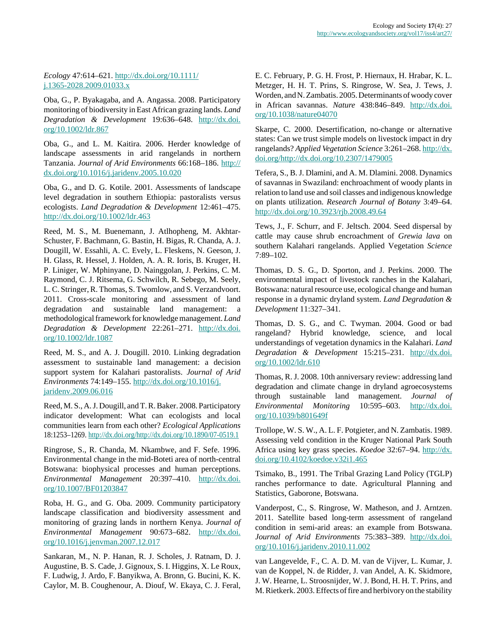# *Ecology* 47:614–621. [http://dx.doi.org/10.1111/](http://dx.doi.org/10.1111/j.1365-2028.2009.01033.x) [j.1365-2028.2009.01033.x](http://dx.doi.org/10.1111/j.1365-2028.2009.01033.x)

Oba, G., P. Byakagaba, and A. Angassa. 2008. Participatory monitoring of biodiversity in East African grazing lands. *Land Degradation & Development* 19:636–648. [http://dx.doi.](http://dx.doi.org/10.1002/ldr.867) [org/10.1002/ldr.867](http://dx.doi.org/10.1002/ldr.867)

Oba, G., and L. M. Kaitira. 2006. Herder knowledge of landscape assessments in arid rangelands in northern Tanzania. *Journal of Arid Environments* 66:168–186. [http://](http://dx.doi.org/10.1016/j.jaridenv.2005.10.020) [dx.doi.org/10.1016/j.jaridenv.2005.10.020](http://dx.doi.org/10.1016/j.jaridenv.2005.10.020)

Oba, G., and D. G. Kotile. 2001. Assessments of landscape level degradation in southern Ethiopia: pastoralists versus ecologists. *Land Degradation & Development* 12:461–475. <http://dx.doi.org/10.1002/ldr.463>

Reed, M. S., M. Buenemann, J. Atlhopheng, M. Akhtar-Schuster, F. Bachmann, G. Bastin, H. Bigas, R. Chanda, A. J. Dougill, W. Essahli, A. C. Evely, L. Fleskens, N. Geeson, J. H. Glass, R. Hessel, J. Holden, A. A. R. Ioris, B. Kruger, H. P. Liniger, W. Mphinyane, D. Nainggolan, J. Perkins, C. M. Raymond, C. J. Ritsema, G. Schwilch, R. Sebego, M. Seely, L. C. Stringer, R. Thomas, S. Twomlow, and S. Verzandvoort. 2011. Cross-scale monitoring and assessment of land degradation and sustainable land management: a methodological framework for knowledge management. *Land Degradation & Development* 22:261–271. [http://dx.doi.](http://dx.doi.org/10.1002/ldr.1087) [org/10.1002/ldr.1087](http://dx.doi.org/10.1002/ldr.1087)

Reed, M. S., and A. J. Dougill. 2010. Linking degradation assessment to sustainable land management: a decision support system for Kalahari pastoralists. *Journal of Arid Environments* 74:149–155. [http://dx.doi.org/10.1016/j.](http://dx.doi.org/10.1016/j.jaridenv.2009.06.016) [jaridenv.2009.06.016](http://dx.doi.org/10.1016/j.jaridenv.2009.06.016)

Reed, M. S., A. J. Dougill, and T. R. Baker. 2008. Participatory indicator development: What can ecologists and local communities learn from each other? *Ecological Applications* 18:1253–1269.<http://dx.doi.org/http://dx.doi.org/10.1890/07-0519.1>

Ringrose, S., R. Chanda, M. Nkambwe, and F. Sefe. 1996. Environmental change in the mid-Boteti area of north-central Botswana: biophysical processes and human perceptions. *Environmental Management* 20:397–410. [http://dx.doi.](http://dx.doi.org/10.1007/BF01203847) [org/10.1007/BF01203847](http://dx.doi.org/10.1007/BF01203847)

Roba, H. G., and G. Oba. 2009. Community participatory landscape classification and biodiversity assessment and monitoring of grazing lands in northern Kenya. *Journal of Environmental Management* 90:673–682. [http://dx.doi.](http://dx.doi.org/10.1016/j.jenvman.2007.12.017) [org/10.1016/j.jenvman.2007.12.017](http://dx.doi.org/10.1016/j.jenvman.2007.12.017)

Sankaran, M., N. P. Hanan, R. J. Scholes, J. Ratnam, D. J. Augustine, B. S. Cade, J. Gignoux, S. I. Higgins, X. Le Roux, F. Ludwig, J. Ardo, F. Banyikwa, A. Bronn, G. Bucini, K. K. Caylor, M. B. Coughenour, A. Diouf, W. Ekaya, C. J. Feral, E. C. February, P. G. H. Frost, P. Hiernaux, H. Hrabar, K. L. Metzger, H. H. T. Prins, S. Ringrose, W. Sea, J. Tews, J. Worden, and N. Zambatis. 2005. Determinants of woody cover in African savannas. *Nature* 438:846–849. [http://dx.doi.](http://dx.doi.org/10.1038/nature04070) [org/10.1038/nature04070](http://dx.doi.org/10.1038/nature04070)

Skarpe, C. 2000. Desertification, no-change or alternative states: Can we trust simple models on livestock impact in dry rangelands? *Applied Vegetation Science* 3:261–268. [http://dx.](http://dx.doi.org/http://dx.doi.org/10.2307/1479005) [doi.org/http://dx.doi.org/10.2307/1479005](http://dx.doi.org/http://dx.doi.org/10.2307/1479005)

Tefera, S., B. J. Dlamini, and A. M. Dlamini. 2008. Dynamics of savannas in Swaziland: enchroachment of woody plants in relation to land use and soil classes and indigenous knowledge on plants utilization. *Research Journal of Botany* 3:49–64. <http://dx.doi.org/10.3923/rjb.2008.49.64>

Tews, J., F. Schurr, and F. Jeltsch. 2004. Seed dispersal by cattle may cause shrub encroachment of *Grewia lava* on southern Kalahari rangelands. Applied Vegetation *Science* 7:89–102.

Thomas, D. S. G., D. Sporton, and J. Perkins. 2000. The environmental impact of livestock ranches in the Kalahari, Botswana: natural resource use, ecological change and human response in a dynamic dryland system. *Land Degradation & Development* 11:327–341.

Thomas, D. S. G., and C. Twyman. 2004. Good or bad rangeland? Hybrid knowledge, science, and local understandings of vegetation dynamics in the Kalahari. *Land Degradation & Development* 15:215–231. [http://dx.doi.](http://dx.doi.org/10.1002/ldr.610) [org/10.1002/ldr.610](http://dx.doi.org/10.1002/ldr.610)

Thomas, R. J. 2008. 10th anniversary review: addressing land degradation and climate change in dryland agroecosystems through sustainable land management. *Journal of Environmental Monitoring* 10:595–603. [http://dx.doi.](http://dx.doi.org/10.1039/b801649f) [org/10.1039/b801649f](http://dx.doi.org/10.1039/b801649f)

Trollope, W. S. W., A. L. F. Potgieter, and N. Zambatis. 1989. Assessing veld condition in the Kruger National Park South Africa using key grass species. *Koedoe* 32:67–94. [http://dx.](http://dx.doi.org/10.4102/koedoe.v32i1.465) [doi.org/10.4102/koedoe.v32i1.465](http://dx.doi.org/10.4102/koedoe.v32i1.465)

Tsimako, B., 1991. The Tribal Grazing Land Policy (TGLP) ranches performance to date. Agricultural Planning and Statistics, Gaborone, Botswana.

Vanderpost, C., S. Ringrose, W. Matheson, and J. Arntzen. 2011. Satellite based long-term assessment of rangeland condition in semi-arid areas: an example from Botswana. *Journal of Arid Environments* 75:383–389. [http://dx.doi.](http://dx.doi.org/10.1016/j.jaridenv.2010.11.002) [org/10.1016/j.jaridenv.2010.11.002](http://dx.doi.org/10.1016/j.jaridenv.2010.11.002)

van Langevelde, F., C. A. D. M. van de Vijver, L. Kumar, J. van de Koppel, N. de Ridder, J. van Andel, A. K. Skidmore, J. W. Hearne, L. Stroosnijder, W. J. Bond, H. H. T. Prins, and M. Rietkerk. 2003. Effects of fire and herbivory on the stability